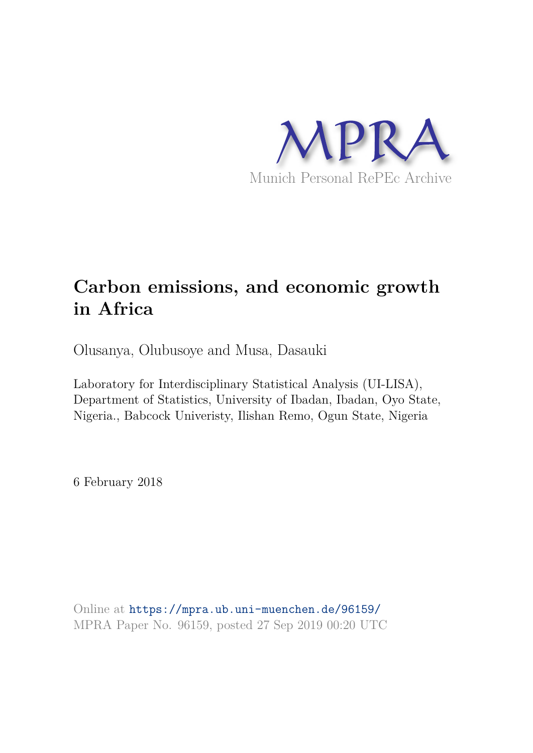

# **Carbon emissions, and economic growth in Africa**

Olusanya, Olubusoye and Musa, Dasauki

Laboratory for Interdisciplinary Statistical Analysis (UI-LISA), Department of Statistics, University of Ibadan, Ibadan, Oyo State, Nigeria., Babcock Univeristy, Ilishan Remo, Ogun State, Nigeria

6 February 2018

Online at https://mpra.ub.uni-muenchen.de/96159/ MPRA Paper No. 96159, posted 27 Sep 2019 00:20 UTC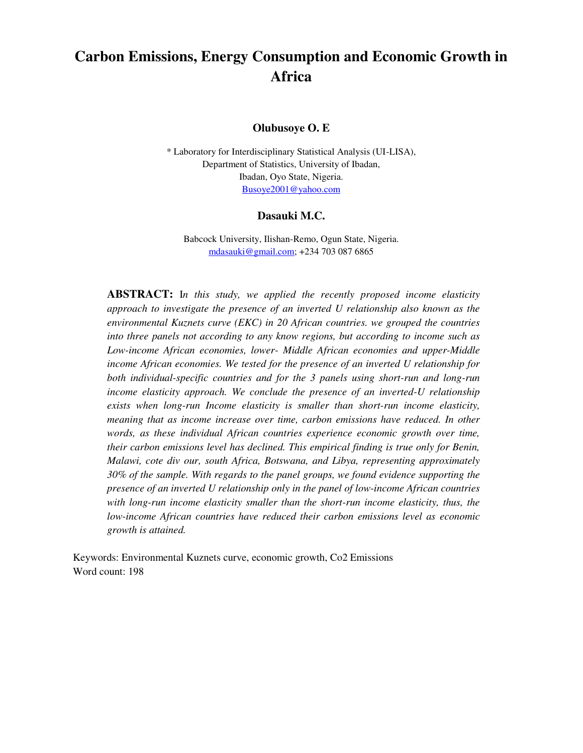# **Carbon Emissions, Energy Consumption and Economic Growth in Africa**

## **Olubusoye O. E**

\* Laboratory for Interdisciplinary Statistical Analysis (UI-LISA), Department of Statistics, University of Ibadan, Ibadan, Oyo State, Nigeria. [Busoye2001@yahoo.com](mailto:Busoye2001@yahoo.com)

#### **Dasauki M.C.**

Babcock University, Ilishan-Remo, Ogun State, Nigeria. [mdasauki@gmail.com;](mailto:mdasauki@gmail.com) +234 703 087 6865

**ABSTRACT:** I*n this study, we applied the recently proposed income elasticity approach to investigate the presence of an inverted U relationship also known as the environmental Kuznets curve (EKC) in 20 African countries. we grouped the countries into three panels not according to any know regions, but according to income such as Low-income African economies, lower- Middle African economies and upper-Middle income African economies. We tested for the presence of an inverted U relationship for both individual-specific countries and for the 3 panels using short-run and long-run income elasticity approach. We conclude the presence of an inverted-U relationship exists when long-run Income elasticity is smaller than short-run income elasticity, meaning that as income increase over time, carbon emissions have reduced. In other words, as these individual African countries experience economic growth over time, their carbon emissions level has declined. This empirical finding is true only for Benin, Malawi, cote div our, south Africa, Botswana, and Libya, representing approximately 30% of the sample. With regards to the panel groups, we found evidence supporting the presence of an inverted U relationship only in the panel of low-income African countries with long-run income elasticity smaller than the short-run income elasticity, thus, the low-income African countries have reduced their carbon emissions level as economic growth is attained.* 

Keywords: Environmental Kuznets curve, economic growth, Co2 Emissions Word count: 198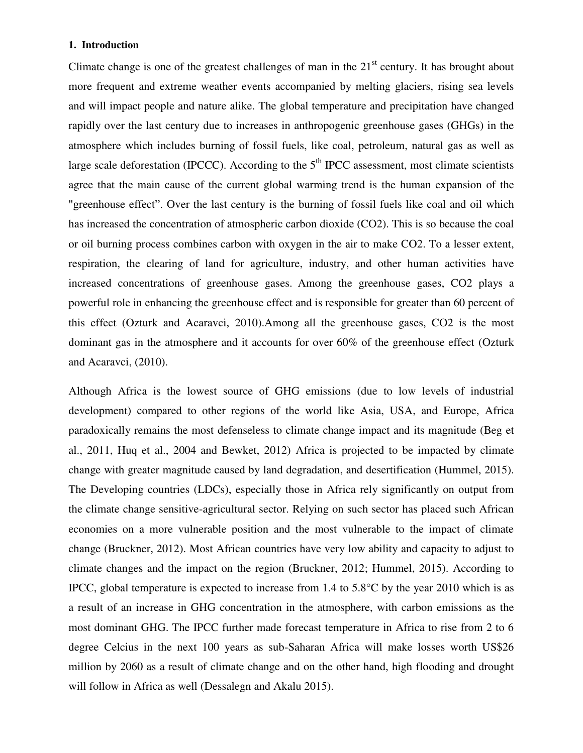#### **1. Introduction**

Climate change is one of the greatest challenges of man in the  $21<sup>st</sup>$  century. It has brought about more frequent and extreme weather events accompanied by melting glaciers, rising sea levels and will impact people and nature alike. The global temperature and precipitation have changed rapidly over the last century due to increases in anthropogenic greenhouse gases (GHGs) in the atmosphere which includes burning of fossil fuels, like coal, petroleum, natural gas as well as large scale deforestation (IPCCC). According to the  $5<sup>th</sup>$  IPCC assessment, most climate scientists agree that the main cause of the current global warming trend is the human expansion of the "greenhouse effect". Over the last century is the burning of fossil fuels like coal and oil which has increased the concentration of atmospheric carbon dioxide (CO2). This is so because the coal or oil burning process combines carbon with oxygen in the air to make CO2. To a lesser extent, respiration, the clearing of land for agriculture, industry, and other human activities have increased concentrations of greenhouse gases. Among the greenhouse gases, CO2 plays a powerful role in enhancing the greenhouse effect and is responsible for greater than 60 percent of this effect (Ozturk and Acaravci, 2010).Among all the greenhouse gases, CO2 is the most dominant gas in the atmosphere and it accounts for over 60% of the greenhouse effect (Ozturk and Acaravci, (2010).

Although Africa is the lowest source of GHG emissions (due to low levels of industrial development) compared to other regions of the world like Asia, USA, and Europe, Africa paradoxically remains the most defenseless to climate change impact and its magnitude (Beg et al., 2011, Huq et al., 2004 and Bewket, 2012) Africa is projected to be impacted by climate change with greater magnitude caused by land degradation, and desertification (Hummel, 2015). The Developing countries (LDCs), especially those in Africa rely significantly on output from the climate change sensitive-agricultural sector. Relying on such sector has placed such African economies on a more vulnerable position and the most vulnerable to the impact of climate change (Bruckner, 2012). Most African countries have very low ability and capacity to adjust to climate changes and the impact on the region (Bruckner, 2012; Hummel, 2015). According to IPCC, global temperature is expected to increase from 1.4 to  $5.8^{\circ}$ C by the year 2010 which is as a result of an increase in GHG concentration in the atmosphere, with carbon emissions as the most dominant GHG. The IPCC further made forecast temperature in Africa to rise from 2 to 6 degree Celcius in the next 100 years as sub-Saharan Africa will make losses worth US\$26 million by 2060 as a result of climate change and on the other hand, high flooding and drought will follow in Africa as well (Dessalegn and Akalu 2015).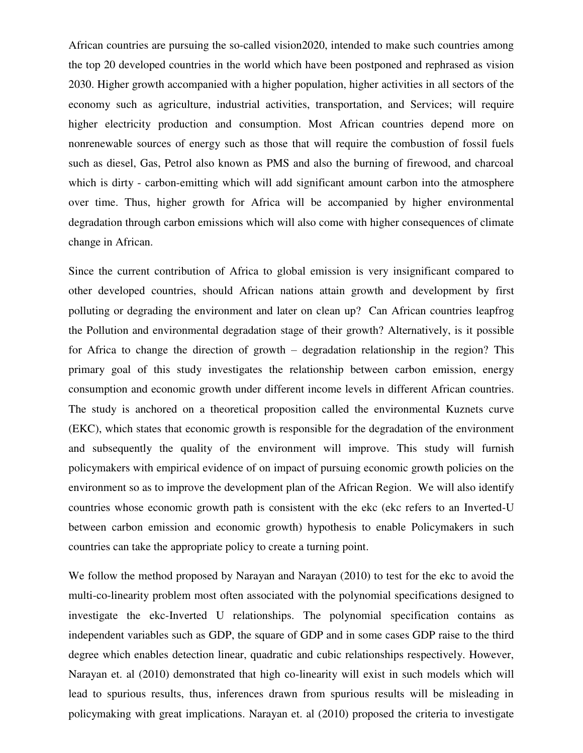African countries are pursuing the so-called vision2020, intended to make such countries among the top 20 developed countries in the world which have been postponed and rephrased as vision 2030. Higher growth accompanied with a higher population, higher activities in all sectors of the economy such as agriculture, industrial activities, transportation, and Services; will require higher electricity production and consumption. Most African countries depend more on nonrenewable sources of energy such as those that will require the combustion of fossil fuels such as diesel, Gas, Petrol also known as PMS and also the burning of firewood, and charcoal which is dirty - carbon-emitting which will add significant amount carbon into the atmosphere over time. Thus, higher growth for Africa will be accompanied by higher environmental degradation through carbon emissions which will also come with higher consequences of climate change in African.

Since the current contribution of Africa to global emission is very insignificant compared to other developed countries, should African nations attain growth and development by first polluting or degrading the environment and later on clean up? Can African countries leapfrog the Pollution and environmental degradation stage of their growth? Alternatively, is it possible for Africa to change the direction of growth – degradation relationship in the region? This primary goal of this study investigates the relationship between carbon emission, energy consumption and economic growth under different income levels in different African countries. The study is anchored on a theoretical proposition called the environmental Kuznets curve (EKC), which states that economic growth is responsible for the degradation of the environment and subsequently the quality of the environment will improve. This study will furnish policymakers with empirical evidence of on impact of pursuing economic growth policies on the environment so as to improve the development plan of the African Region. We will also identify countries whose economic growth path is consistent with the ekc (ekc refers to an Inverted-U between carbon emission and economic growth) hypothesis to enable Policymakers in such countries can take the appropriate policy to create a turning point.

We follow the method proposed by Narayan and Narayan (2010) to test for the ekc to avoid the multi-co-linearity problem most often associated with the polynomial specifications designed to investigate the ekc-Inverted U relationships. The polynomial specification contains as independent variables such as GDP, the square of GDP and in some cases GDP raise to the third degree which enables detection linear, quadratic and cubic relationships respectively. However, Narayan et. al (2010) demonstrated that high co-linearity will exist in such models which will lead to spurious results, thus, inferences drawn from spurious results will be misleading in policymaking with great implications. Narayan et. al (2010) proposed the criteria to investigate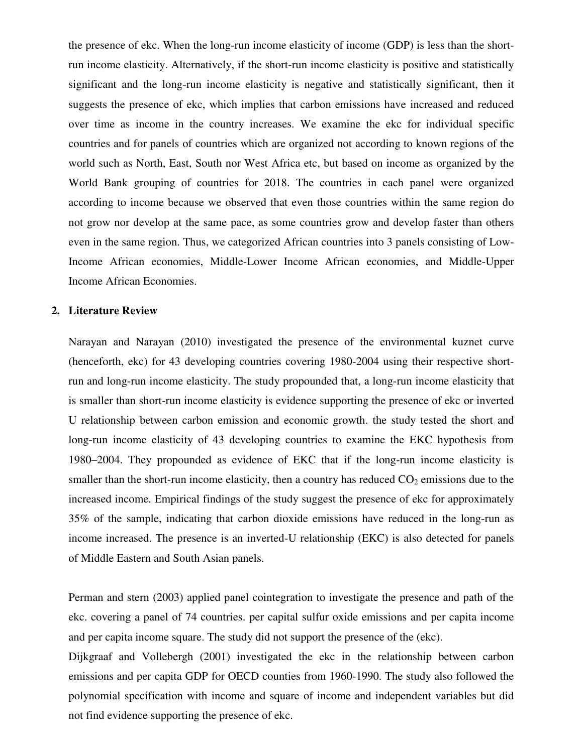the presence of ekc. When the long-run income elasticity of income (GDP) is less than the shortrun income elasticity. Alternatively, if the short-run income elasticity is positive and statistically significant and the long-run income elasticity is negative and statistically significant, then it suggests the presence of ekc, which implies that carbon emissions have increased and reduced over time as income in the country increases. We examine the ekc for individual specific countries and for panels of countries which are organized not according to known regions of the world such as North, East, South nor West Africa etc, but based on income as organized by the World Bank grouping of countries for 2018. The countries in each panel were organized according to income because we observed that even those countries within the same region do not grow nor develop at the same pace, as some countries grow and develop faster than others even in the same region. Thus, we categorized African countries into 3 panels consisting of Low-Income African economies, Middle-Lower Income African economies, and Middle-Upper Income African Economies.

#### **2. Literature Review**

Narayan and Narayan (2010) investigated the presence of the environmental kuznet curve (henceforth, ekc) for 43 developing countries covering 1980-2004 using their respective shortrun and long-run income elasticity. The study propounded that, a long-run income elasticity that is smaller than short-run income elasticity is evidence supporting the presence of ekc or inverted U relationship between carbon emission and economic growth. the study tested the short and long-run income elasticity of 43 developing countries to examine the EKC hypothesis from 1980–2004. They propounded as evidence of EKC that if the long-run income elasticity is smaller than the short-run income elasticity, then a country has reduced  $CO<sub>2</sub>$  emissions due to the increased income. Empirical findings of the study suggest the presence of ekc for approximately 35% of the sample, indicating that carbon dioxide emissions have reduced in the long-run as income increased. The presence is an inverted-U relationship (EKC) is also detected for panels of Middle Eastern and South Asian panels.

Perman and stern (2003) applied panel cointegration to investigate the presence and path of the ekc. covering a panel of 74 countries. per capital sulfur oxide emissions and per capita income and per capita income square. The study did not support the presence of the (ekc).

Dijkgraaf and Vollebergh (2001) investigated the ekc in the relationship between carbon emissions and per capita GDP for OECD counties from 1960-1990. The study also followed the polynomial specification with income and square of income and independent variables but did not find evidence supporting the presence of ekc.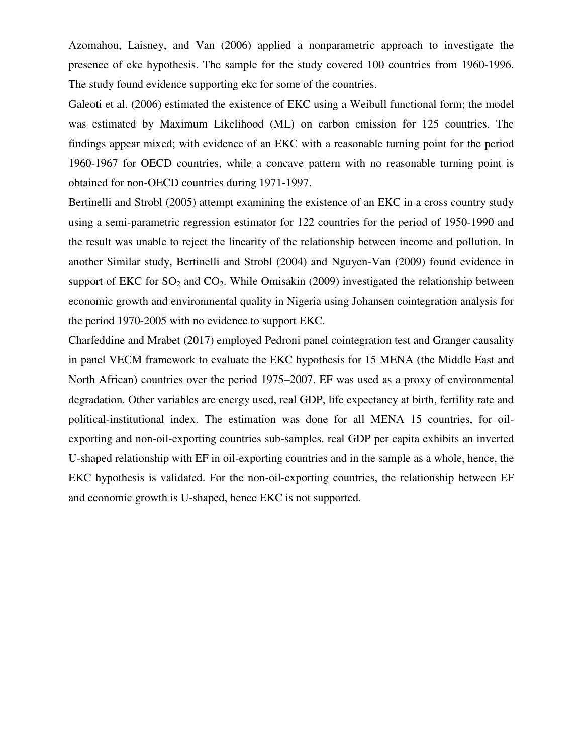Azomahou, Laisney, and Van (2006) applied a nonparametric approach to investigate the presence of ekc hypothesis. The sample for the study covered 100 countries from 1960-1996. The study found evidence supporting ekc for some of the countries.

Galeoti et al. (2006) estimated the existence of EKC using a Weibull functional form; the model was estimated by Maximum Likelihood (ML) on carbon emission for 125 countries. The findings appear mixed; with evidence of an EKC with a reasonable turning point for the period 1960-1967 for OECD countries, while a concave pattern with no reasonable turning point is obtained for non-OECD countries during 1971-1997.

Bertinelli and Strobl (2005) attempt examining the existence of an EKC in a cross country study using a semi-parametric regression estimator for 122 countries for the period of 1950-1990 and the result was unable to reject the linearity of the relationship between income and pollution. In another Similar study, Bertinelli and Strobl (2004) and Nguyen-Van (2009) found evidence in support of EKC for  $SO_2$  and  $CO_2$ . While Omisakin (2009) investigated the relationship between economic growth and environmental quality in Nigeria using Johansen cointegration analysis for the period 1970-2005 with no evidence to support EKC.

Charfeddine and Mrabet (2017) employed Pedroni panel cointegration test and Granger causality in panel VECM framework to evaluate the EKC hypothesis for 15 MENA (the Middle East and North African) countries over the period 1975–2007. EF was used as a proxy of environmental degradation. Other variables are energy used, real GDP, life expectancy at birth, fertility rate and political-institutional index. The estimation was done for all MENA 15 countries, for oilexporting and non-oil-exporting countries sub-samples. real GDP per capita exhibits an inverted U-shaped relationship with EF in oil-exporting countries and in the sample as a whole, hence, the EKC hypothesis is validated. For the non-oil-exporting countries, the relationship between EF and economic growth is U-shaped, hence EKC is not supported.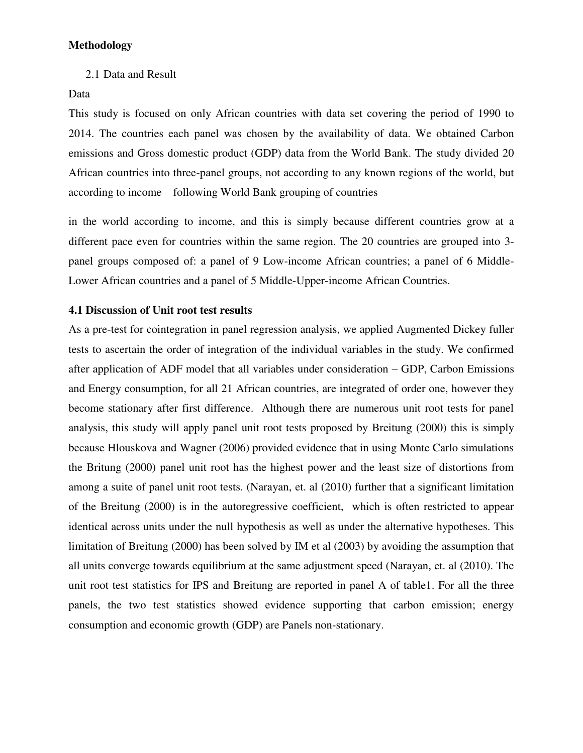2.1 Data and Result

Data

This study is focused on only African countries with data set covering the period of 1990 to 2014. The countries each panel was chosen by the availability of data. We obtained Carbon emissions and Gross domestic product (GDP) data from the World Bank. The study divided 20 African countries into three-panel groups, not according to any known regions of the world, but according to income – following World Bank grouping of countries

in the world according to income, and this is simply because different countries grow at a different pace even for countries within the same region. The 20 countries are grouped into 3 panel groups composed of: a panel of 9 Low-income African countries; a panel of 6 Middle-Lower African countries and a panel of 5 Middle-Upper-income African Countries.

# **4.1 Discussion of Unit root test results**

As a pre-test for cointegration in panel regression analysis, we applied Augmented Dickey fuller tests to ascertain the order of integration of the individual variables in the study. We confirmed after application of ADF model that all variables under consideration – GDP, Carbon Emissions and Energy consumption, for all 21 African countries, are integrated of order one, however they become stationary after first difference. Although there are numerous unit root tests for panel analysis, this study will apply panel unit root tests proposed by Breitung (2000) this is simply because Hlouskova and Wagner (2006) provided evidence that in using Monte Carlo simulations the Britung (2000) panel unit root has the highest power and the least size of distortions from among a suite of panel unit root tests. (Narayan, et. al (2010) further that a significant limitation of the Breitung (2000) is in the autoregressive coefficient, which is often restricted to appear identical across units under the null hypothesis as well as under the alternative hypotheses. This limitation of Breitung (2000) has been solved by IM et al (2003) by avoiding the assumption that all units converge towards equilibrium at the same adjustment speed (Narayan, et. al (2010). The unit root test statistics for IPS and Breitung are reported in panel A of table1. For all the three panels, the two test statistics showed evidence supporting that carbon emission; energy consumption and economic growth (GDP) are Panels non-stationary.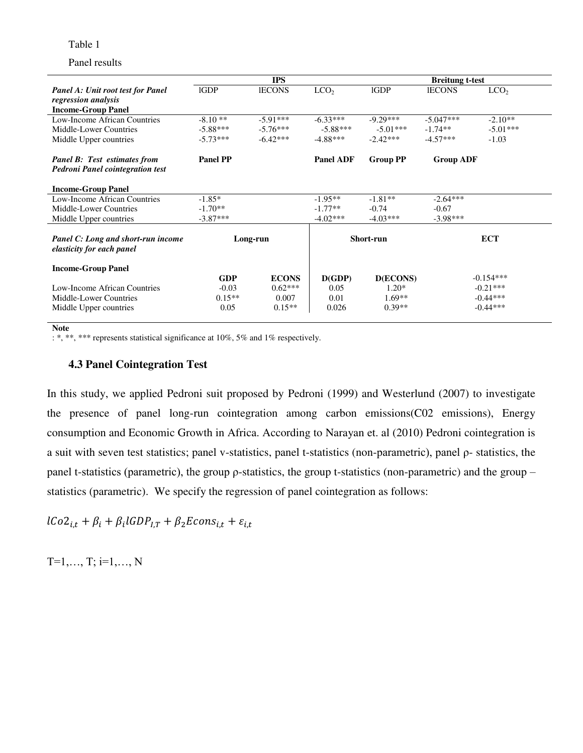Table 1

#### Panel results

|                                                                                | <b>IPS</b>      |               |                  |                 | <b>Breitung t-test</b> |                  |  |
|--------------------------------------------------------------------------------|-----------------|---------------|------------------|-----------------|------------------------|------------------|--|
| <b>Panel A: Unit root test for Panel</b>                                       | <b>IGDP</b>     | <b>IECONS</b> | LCO <sub>2</sub> | <b>IGDP</b>     | <b>IECONS</b>          | LCO <sub>2</sub> |  |
| regression analysis                                                            |                 |               |                  |                 |                        |                  |  |
| <b>Income-Group Panel</b>                                                      |                 |               |                  |                 |                        |                  |  |
| Low-Income African Countries                                                   | $-8.10**$       | $-5.91***$    | $-6.33***$       | $-9.29***$      | $-5.047***$            | $-2.10**$        |  |
| Middle-Lower Countries                                                         | $-5.88***$      | $-5.76***$    | $-5.88***$       | $-5.01***$      | $-1.74**$              | $-5.01***$       |  |
| Middle Upper countries                                                         | $-5.73***$      | $-6.42***$    | $-4.88***$       | $-2.42***$      | $-4.57***$             | $-1.03$          |  |
| <b>Panel B:</b> Test estimates from<br><b>Pedroni Panel cointegration test</b> | <b>Panel PP</b> |               | <b>Panel ADF</b> | <b>Group PP</b> | <b>Group ADF</b>       |                  |  |
| <b>Income-Group Panel</b>                                                      |                 |               |                  |                 |                        |                  |  |
| Low-Income African Countries                                                   | $-1.85*$        |               | $-1.95**$        | $-1.81**$       | $-2.64***$             |                  |  |
| Middle-Lower Countries                                                         | $-1.70**$       |               | $-1.77**$        | $-0.74$         | $-0.67$                |                  |  |
| Middle Upper countries                                                         | $-3.87***$      |               | $-4.02***$       | $-4.03***$      | $-3.98***$             |                  |  |
| Panel C: Long and short-run income<br>elasticity for each panel                | Long-run        |               | Short-run        |                 | <b>ECT</b>             |                  |  |
| <b>Income-Group Panel</b>                                                      |                 |               |                  |                 |                        |                  |  |
|                                                                                | <b>GDP</b>      | <b>ECONS</b>  | D(GDP)           | <b>D(ECONS)</b> |                        | $-0.154***$      |  |
| Low-Income African Countries                                                   | $-0.03$         | $0.62***$     | 0.05             | $1.20*$         |                        | $-0.21***$       |  |
| Middle-Lower Countries                                                         | $0.15**$        | 0.007         | 0.01             | $1.69**$        |                        | $-0.44***$       |  |
| Middle Upper countries                                                         | 0.05            | $0.15**$      | 0.026            | $0.39**$        |                        | $-0.44***$       |  |

#### **Note**

: \*, \*\*, \*\*\* represents statistical significance at 10%, 5% and 1% respectively.

## **4.3 Panel Cointegration Test**

In this study, we applied Pedroni suit proposed by Pedroni (1999) and Westerlund (2007) to investigate the presence of panel long-run cointegration among carbon emissions(C02 emissions), Energy consumption and Economic Growth in Africa. According to Narayan et. al (2010) Pedroni cointegration is a suit with seven test statistics; panel v-statistics, panel t-statistics (non-parametric), panel ρ- statistics, the panel t-statistics (parametric), the group ρ-statistics, the group t-statistics (non-parametric) and the group – statistics (parametric). We specify the regression of panel cointegration as follows:

 $lCo2_{i,t} + \beta_i + \beta_i l$ 

 $T=1, \ldots, T; i=1, \ldots, N$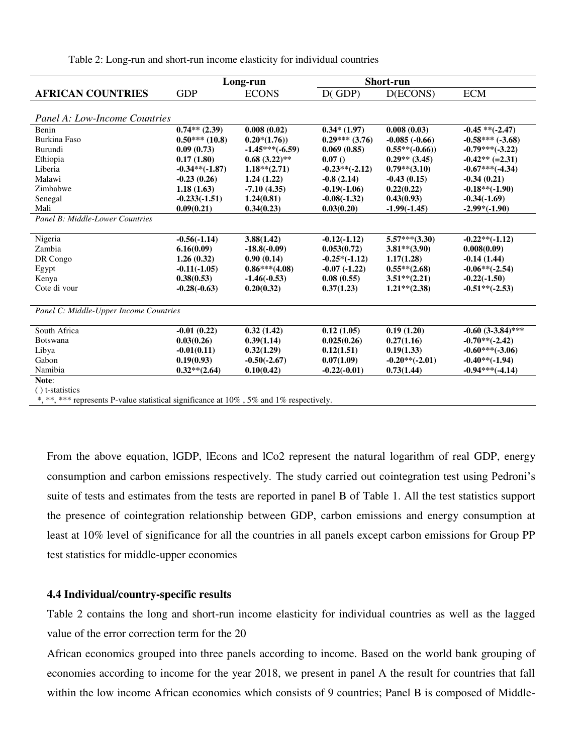Table 2: Long-run and short-run income elasticity for individual countries

|                                                                                            | Long-run         |                   | <b>Short-run</b> |                  |                      |
|--------------------------------------------------------------------------------------------|------------------|-------------------|------------------|------------------|----------------------|
| <b>AFRICAN COUNTRIES</b>                                                                   | <b>GDP</b>       | <b>ECONS</b>      | $D$ (GDP)        | D(ECONS)         | <b>ECM</b>           |
|                                                                                            |                  |                   |                  |                  |                      |
| <b>Panel A: Low-Income Countries</b>                                                       |                  |                   |                  |                  |                      |
| Benin                                                                                      | $0.74**$ (2.39)  | 0.008(0.02)       | $0.34*(1.97)$    | 0.008(0.03)      | $-0.45$ ** $(-2.47)$ |
| <b>Burkina Faso</b>                                                                        | $0.50***(10.8)$  | $0.20*(1.76)$     | $0.29***(3.76)$  | $-0.085(-0.66)$  | $-0.58***(-3.68)$    |
| Burundi                                                                                    | 0.09(0.73)       | $-1.45***(-6.59)$ | 0.069(0.85)      | $0.55**(-0.66))$ | $-0.79***(-3.22)$    |
| Ethiopia                                                                                   | 0.17(1.80)       | $0.68(3.22)$ **   | 0.07()           | $0.29**$ (3.45)  | $-0.42** (=2.31)$    |
| Liberia                                                                                    | $-0.34**(-1.87)$ | $1.18**$ (2.71)   | $-0.23**(-2.12)$ | $0.79**$ (3.10)  | $-0.67***(-4.34)$    |
| Malawi                                                                                     | $-0.23(0.26)$    | 1.24(1.22)        | $-0.8(2.14)$     | $-0.43(0.15)$    | $-0.34(0.21)$        |
| Zimbabwe                                                                                   | 1.18(1.63)       | $-7.10(4.35)$     | $-0.19(-1.06)$   | 0.22(0.22)       | $-0.18**(-1.90)$     |
| Senegal                                                                                    | $-0.233(-1.51)$  | 1,24(0.81)        | $-0.08(-1.32)$   | 0.43(0.93)       | $-0.34(-1.69)$       |
| Mali                                                                                       | 0.09(0.21)       | 0.34(0.23)        | 0.03(0.20)       | $-1.99(-1.45)$   | $-2.99*(-1.90)$      |
| Panel B: Middle-Lower Countries                                                            |                  |                   |                  |                  |                      |
|                                                                                            |                  |                   |                  |                  |                      |
| Nigeria                                                                                    | $-0.56(-1.14)$   | 3.88(1.42)        | $-0.12(-1.12)$   | $5.57***(3.30)$  | $-0.22**(-1.12)$     |
| Zambia                                                                                     | 6.16(0.09)       | $-18.8(-0.09)$    | 0.053(0.72)      | $3.81**$ (3.90)  | 0.008(0.09)          |
| DR Congo                                                                                   | 1.26(0.32)       | 0.90(0.14)        | $-0.25*(-1.12)$  | 1.17(1.28)       | $-0.14(1.44)$        |
| Egypt                                                                                      | $-0.11(-1.05)$   | $0.86***(4.08)$   | $-0.07(-1.22)$   | $0.55**$ (2.68)  | $-0.06**(-2.54)$     |
| Kenya                                                                                      | 0.38(0.53)       | $-1.46(-0.53)$    | 0.08(0.55)       | $3.51** (2.21)$  | $-0.22(-1.50)$       |
| Cote di vour                                                                               | $-0.28(-0.63)$   | 0.20(0.32)        | 0.37(1.23)       | $1.21**$ (2.38)  | $-0.51**(-2.53)$     |
| Panel C: Middle-Upper Income Countries                                                     |                  |                   |                  |                  |                      |
| South Africa                                                                               | $-0.01(0.22)$    | 0.32(1.42)        | 0.12(1.05)       | 0.19(1.20)       | $-0.60(3-3.84)$ ***  |
| Botswana                                                                                   | 0.03(0.26)       | 0.39(1.14)        | 0.025(0.26)      | 0.27(1.16)       | $-0.70**(-2.42)$     |
| Libya                                                                                      | $-0.01(0.11)$    | 0.32(1.29)        | 0.12(1.51)       | 0.19(1.33)       | $-0.60***(-3.06)$    |
| Gabon                                                                                      | 0.19(0.93)       | $-0.50(-2.67)$    | 0.07(1.09)       | $-0.20**(-2.01)$ | $-0.40**(-1.94)$     |
| Namibia                                                                                    | $0.32**$ (2.64)  | 0.10(0.42)        | $-0.22(-0.01)$   | 0.73(1.44)       | $-0.94***(-4.14)$    |
| Note:                                                                                      |                  |                   |                  |                  |                      |
| () t-statistics                                                                            |                  |                   |                  |                  |                      |
| *, **, *** represents P-value statistical significance at $10\%$ , 5% and 1% respectively. |                  |                   |                  |                  |                      |

From the above equation, lGDP, lEcons and lCo2 represent the natural logarithm of real GDP, energy consumption and carbon emissions respectively. The study carried out cointegration test using Pedroni's suite of tests and estimates from the tests are reported in panel B of Table 1. All the test statistics support the presence of cointegration relationship between GDP, carbon emissions and energy consumption at least at 10% level of significance for all the countries in all panels except carbon emissions for Group PP test statistics for middle-upper economies

#### **4.4 Individual/country-specific results**

Table 2 contains the long and short-run income elasticity for individual countries as well as the lagged value of the error correction term for the 20

African economics grouped into three panels according to income. Based on the world bank grouping of economies according to income for the year 2018, we present in panel A the result for countries that fall within the low income African economies which consists of 9 countries; Panel B is composed of Middle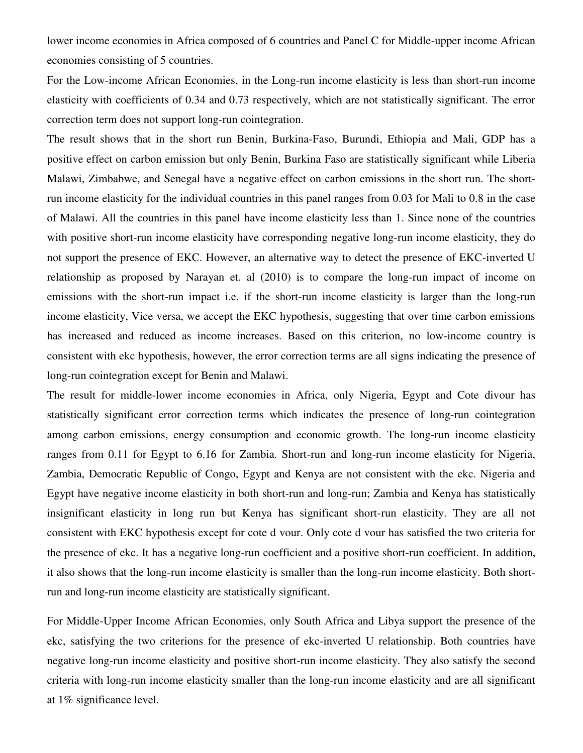lower income economies in Africa composed of 6 countries and Panel C for Middle-upper income African economies consisting of 5 countries.

For the Low-income African Economies, in the Long-run income elasticity is less than short-run income elasticity with coefficients of 0.34 and 0.73 respectively, which are not statistically significant. The error correction term does not support long-run cointegration.

The result shows that in the short run Benin, Burkina-Faso, Burundi, Ethiopia and Mali, GDP has a positive effect on carbon emission but only Benin, Burkina Faso are statistically significant while Liberia Malawi, Zimbabwe, and Senegal have a negative effect on carbon emissions in the short run. The shortrun income elasticity for the individual countries in this panel ranges from 0.03 for Mali to 0.8 in the case of Malawi. All the countries in this panel have income elasticity less than 1. Since none of the countries with positive short-run income elasticity have corresponding negative long-run income elasticity, they do not support the presence of EKC. However, an alternative way to detect the presence of EKC-inverted U relationship as proposed by Narayan et. al (2010) is to compare the long-run impact of income on emissions with the short-run impact i.e. if the short-run income elasticity is larger than the long-run income elasticity, Vice versa, we accept the EKC hypothesis, suggesting that over time carbon emissions has increased and reduced as income increases. Based on this criterion, no low-income country is consistent with ekc hypothesis, however, the error correction terms are all signs indicating the presence of long-run cointegration except for Benin and Malawi.

The result for middle-lower income economies in Africa, only Nigeria, Egypt and Cote divour has statistically significant error correction terms which indicates the presence of long-run cointegration among carbon emissions, energy consumption and economic growth. The long-run income elasticity ranges from 0.11 for Egypt to 6.16 for Zambia. Short-run and long-run income elasticity for Nigeria, Zambia, Democratic Republic of Congo, Egypt and Kenya are not consistent with the ekc. Nigeria and Egypt have negative income elasticity in both short-run and long-run; Zambia and Kenya has statistically insignificant elasticity in long run but Kenya has significant short-run elasticity. They are all not consistent with EKC hypothesis except for cote d vour. Only cote d vour has satisfied the two criteria for the presence of ekc. It has a negative long-run coefficient and a positive short-run coefficient. In addition, it also shows that the long-run income elasticity is smaller than the long-run income elasticity. Both shortrun and long-run income elasticity are statistically significant.

For Middle-Upper Income African Economies, only South Africa and Libya support the presence of the ekc, satisfying the two criterions for the presence of ekc-inverted U relationship. Both countries have negative long-run income elasticity and positive short-run income elasticity. They also satisfy the second criteria with long-run income elasticity smaller than the long-run income elasticity and are all significant at 1% significance level.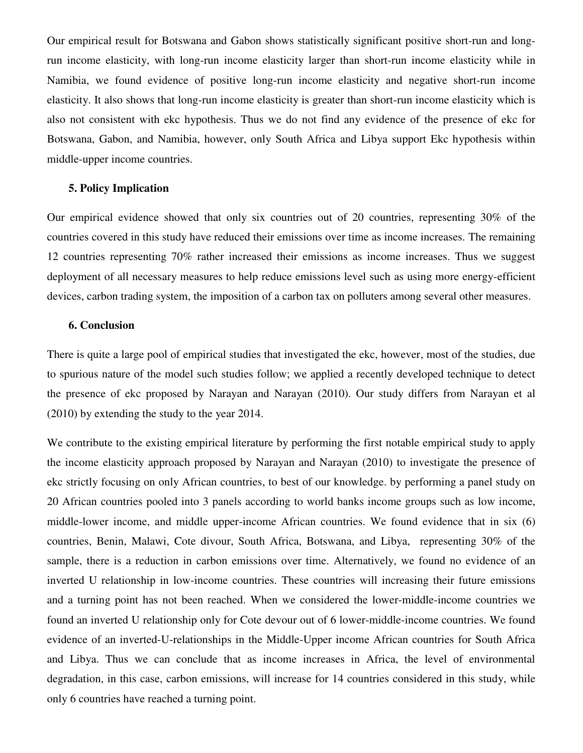Our empirical result for Botswana and Gabon shows statistically significant positive short-run and longrun income elasticity, with long-run income elasticity larger than short-run income elasticity while in Namibia, we found evidence of positive long-run income elasticity and negative short-run income elasticity. It also shows that long-run income elasticity is greater than short-run income elasticity which is also not consistent with ekc hypothesis. Thus we do not find any evidence of the presence of ekc for Botswana, Gabon, and Namibia, however, only South Africa and Libya support Ekc hypothesis within middle-upper income countries.

# **5. Policy Implication**

Our empirical evidence showed that only six countries out of 20 countries, representing 30% of the countries covered in this study have reduced their emissions over time as income increases. The remaining 12 countries representing 70% rather increased their emissions as income increases. Thus we suggest deployment of all necessary measures to help reduce emissions level such as using more energy-efficient devices, carbon trading system, the imposition of a carbon tax on polluters among several other measures.

# **6. Conclusion**

There is quite a large pool of empirical studies that investigated the ekc, however, most of the studies, due to spurious nature of the model such studies follow; we applied a recently developed technique to detect the presence of ekc proposed by Narayan and Narayan (2010). Our study differs from Narayan et al (2010) by extending the study to the year 2014.

We contribute to the existing empirical literature by performing the first notable empirical study to apply the income elasticity approach proposed by Narayan and Narayan (2010) to investigate the presence of ekc strictly focusing on only African countries, to best of our knowledge. by performing a panel study on 20 African countries pooled into 3 panels according to world banks income groups such as low income, middle-lower income, and middle upper-income African countries. We found evidence that in six (6) countries, Benin, Malawi, Cote divour, South Africa, Botswana, and Libya, representing 30% of the sample, there is a reduction in carbon emissions over time. Alternatively, we found no evidence of an inverted U relationship in low-income countries. These countries will increasing their future emissions and a turning point has not been reached. When we considered the lower-middle-income countries we found an inverted U relationship only for Cote devour out of 6 lower-middle-income countries. We found evidence of an inverted-U-relationships in the Middle-Upper income African countries for South Africa and Libya. Thus we can conclude that as income increases in Africa, the level of environmental degradation, in this case, carbon emissions, will increase for 14 countries considered in this study, while only 6 countries have reached a turning point.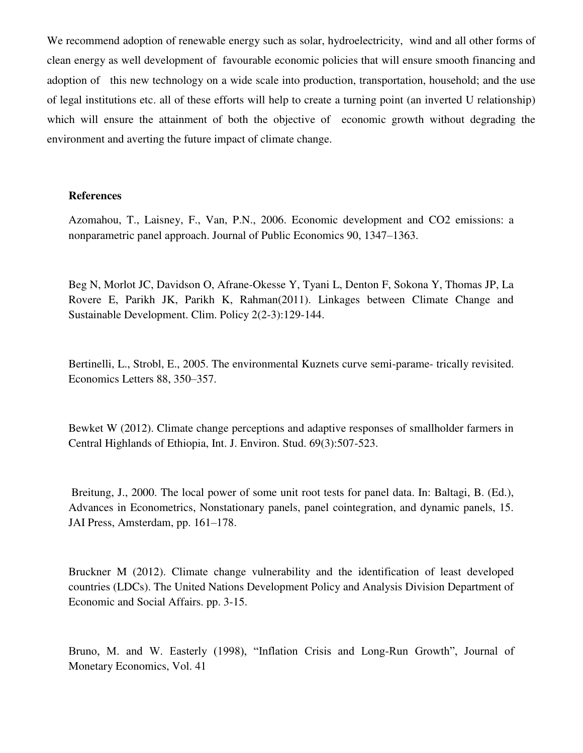We recommend adoption of renewable energy such as solar, hydroelectricity, wind and all other forms of clean energy as well development of favourable economic policies that will ensure smooth financing and adoption of this new technology on a wide scale into production, transportation, household; and the use of legal institutions etc. all of these efforts will help to create a turning point (an inverted U relationship) which will ensure the attainment of both the objective of economic growth without degrading the environment and averting the future impact of climate change.

#### **References**

Azomahou, T., Laisney, F., Van, P.N., 2006. Economic development and CO2 emissions: a nonparametric panel approach. Journal of Public Economics 90, 1347–1363.

Beg N, Morlot JC, Davidson O, Afrane-Okesse Y, Tyani L, Denton F, Sokona Y, Thomas JP, La Rovere E, Parikh JK, Parikh K, Rahman(2011). Linkages between Climate Change and Sustainable Development. Clim. Policy 2(2-3):129-144.

Bertinelli, L., Strobl, E., 2005. The environmental Kuznets curve semi-parame- trically revisited. Economics Letters 88, 350–357.

Bewket W (2012). Climate change perceptions and adaptive responses of smallholder farmers in Central Highlands of Ethiopia, Int. J. Environ. Stud. 69(3):507-523.

 Breitung, J., 2000. The local power of some unit root tests for panel data. In: Baltagi, B. (Ed.), Advances in Econometrics, Nonstationary panels, panel cointegration, and dynamic panels, 15. JAI Press, Amsterdam, pp. 161–178.

Bruckner M (2012). Climate change vulnerability and the identification of least developed countries (LDCs). The United Nations Development Policy and Analysis Division Department of Economic and Social Affairs. pp. 3-15.

Bruno, M. and W. Easterly (1998), "Inflation Crisis and Long-Run Growth", Journal of Monetary Economics, Vol. 41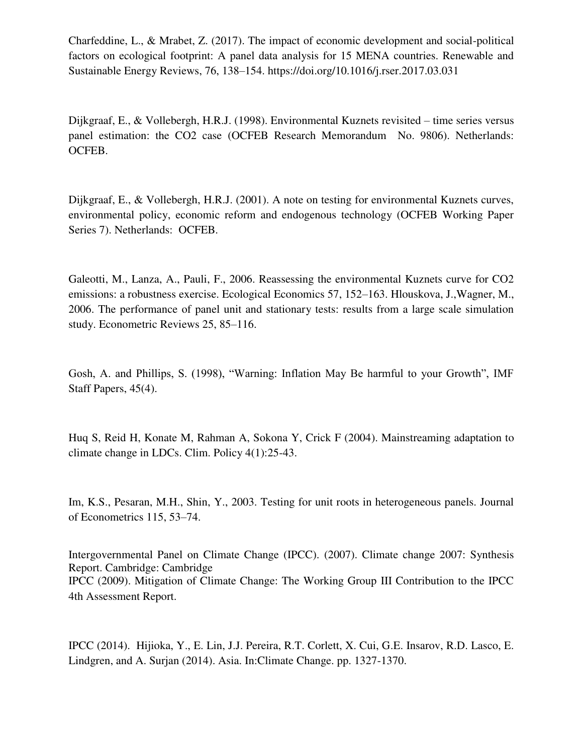Charfeddine, L., & Mrabet, Z. (2017). The impact of economic development and social-political factors on ecological footprint: A panel data analysis for 15 MENA countries. Renewable and Sustainable Energy Reviews, 76, 138–154. https://doi.org/10.1016/j.rser.2017.03.031

Dijkgraaf, E., & Vollebergh, H.R.J. (1998). Environmental Kuznets revisited – time series versus panel estimation: the CO2 case (OCFEB Research Memorandum No. 9806). Netherlands: OCFEB.

Dijkgraaf, E., & Vollebergh, H.R.J. (2001). A note on testing for environmental Kuznets curves, environmental policy, economic reform and endogenous technology (OCFEB Working Paper Series 7). Netherlands: OCFEB.

Galeotti, M., Lanza, A., Pauli, F., 2006. Reassessing the environmental Kuznets curve for CO2 emissions: a robustness exercise. Ecological Economics 57, 152–163. Hlouskova, J.,Wagner, M., 2006. The performance of panel unit and stationary tests: results from a large scale simulation study. Econometric Reviews 25, 85–116.

Gosh, A. and Phillips, S. (1998), "Warning: Inflation May Be harmful to your Growth", IMF Staff Papers, 45(4).

Huq S, Reid H, Konate M, Rahman A, Sokona Y, Crick F (2004). Mainstreaming adaptation to climate change in LDCs. Clim. Policy 4(1):25-43.

Im, K.S., Pesaran, M.H., Shin, Y., 2003. Testing for unit roots in heterogeneous panels. Journal of Econometrics 115, 53–74.

Intergovernmental Panel on Climate Change (IPCC). (2007). Climate change 2007: Synthesis Report. Cambridge: Cambridge IPCC (2009). Mitigation of Climate Change: The Working Group III Contribution to the IPCC 4th Assessment Report.

IPCC (2014). Hijioka, Y., E. Lin, J.J. Pereira, R.T. Corlett, X. Cui, G.E. Insarov, R.D. Lasco, E. Lindgren, and A. Surian (2014). Asia. In:Climate Change. pp. 1327-1370.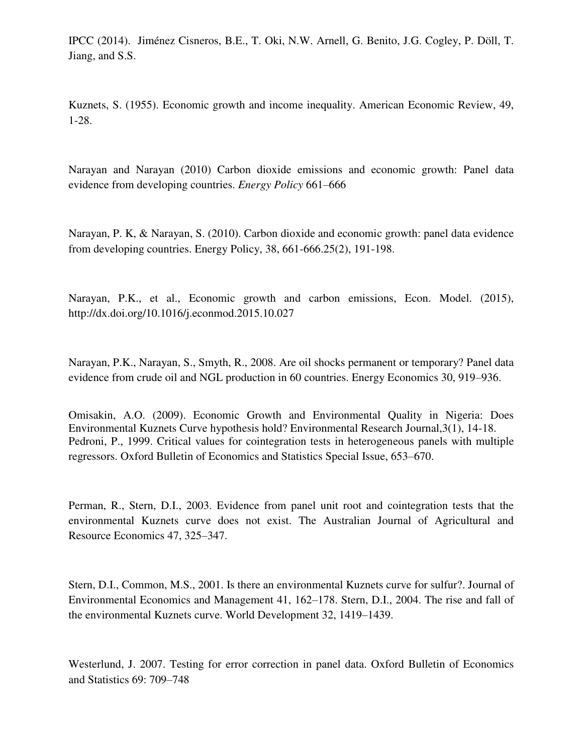IPCC (2014). Jiménez Cisneros, B.E., T. Oki, N.W. Arnell, G. Benito, J.G. Cogley, P. Döll, T. Jiang, and S.S.

Kuznets, S. (1955). Economic growth and income inequality. American Economic Review, 49, 1-28.

Narayan and Narayan (2010) Carbon dioxide emissions and economic growth: Panel data evidence from developing countries. *Energy Policy* 661–666

Narayan, P. K, & Narayan, S. (2010). Carbon dioxide and economic growth: panel data evidence from developing countries. Energy Policy, 38, 661-666.25(2), 191-198.

Narayan, P.K., et al., Economic growth and carbon emissions, Econ. Model. (2015), http://dx.doi.org/10.1016/j.econmod.2015.10.027

Narayan, P.K., Narayan, S., Smyth, R., 2008. Are oil shocks permanent or temporary? Panel data evidence from crude oil and NGL production in 60 countries. Energy Economics 30, 919–936.

Omisakin, A.O. (2009). Economic Growth and Environmental Quality in Nigeria: Does Environmental Kuznets Curve hypothesis hold? Environmental Research Journal,3(1), 14-18. Pedroni, P., 1999. Critical values for cointegration tests in heterogeneous panels with multiple regressors. Oxford Bulletin of Economics and Statistics Special Issue, 653–670.

Perman, R., Stern, D.I., 2003. Evidence from panel unit root and cointegration tests that the environmental Kuznets curve does not exist. The Australian Journal of Agricultural and Resource Economics 47, 325–347.

Stern, D.I., Common, M.S., 2001. Is there an environmental Kuznets curve for sulfur?. Journal of Environmental Economics and Management 41, 162–178. Stern, D.I., 2004. The rise and fall of the environmental Kuznets curve. World Development 32, 1419–1439.

Westerlund, J. 2007. Testing for error correction in panel data. Oxford Bulletin of Economics and Statistics 69: 709–748